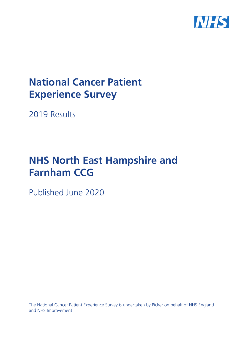

# **National Cancer Patient Experience Survey**

2019 Results

# **NHS North East Hampshire and Farnham CCG**

Published June 2020

The National Cancer Patient Experience Survey is undertaken by Picker on behalf of NHS England and NHS Improvement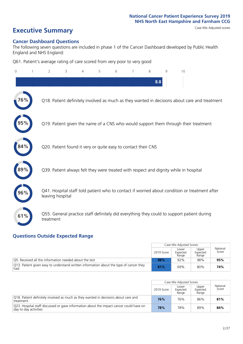# **Executive Summary** Case Mix Adjusted scores

#### **Cancer Dashboard Questions**

The following seven questions are included in phase 1 of the Cancer Dashboard developed by Public Health England and NHS England:

Q61. Patient's average rating of care scored from very poor to very good

| $\Omega$ | $\overline{2}$                                                | 3 | 4 | 5 | 6 | 7 | 8   | 9 | 10                                                                                            |
|----------|---------------------------------------------------------------|---|---|---|---|---|-----|---|-----------------------------------------------------------------------------------------------|
|          |                                                               |   |   |   |   |   | 8.8 |   |                                                                                               |
| 76%      |                                                               |   |   |   |   |   |     |   | Q18. Patient definitely involved as much as they wanted in decisions about care and treatment |
|          |                                                               |   |   |   |   |   |     |   | Q19. Patient given the name of a CNS who would support them through their treatment           |
| 84%      | Q20. Patient found it very or quite easy to contact their CNS |   |   |   |   |   |     |   |                                                                                               |
|          |                                                               |   |   |   |   |   |     |   | Q39. Patient always felt they were treated with respect and dignity while in hospital         |
|          | leaving hospital                                              |   |   |   |   |   |     |   | Q41. Hospital staff told patient who to contact if worried about condition or treatment after |
| 61%      | treatment                                                     |   |   |   |   |   |     |   | Q55. General practice staff definitely did everything they could to support patient during    |

### **Questions Outside Expected Range**

|                                                                                                 |            | Case Mix Adjusted Scores   |                            |                   |
|-------------------------------------------------------------------------------------------------|------------|----------------------------|----------------------------|-------------------|
|                                                                                                 | 2019 Score | Lower<br>Expected<br>Range | Upper<br>Expected<br>Range | National<br>Score |
| Q5. Received all the information needed about the test                                          | 98%        | 92%                        | 98%                        | 95%               |
| [O13. Patient given easy to understand written information about the type of cancer they<br>had | 81%        | 69%                        | 80%                        | 74%               |

|                                                                                                                  |            | Case Mix Adjusted Scores   |                            |                   |
|------------------------------------------------------------------------------------------------------------------|------------|----------------------------|----------------------------|-------------------|
|                                                                                                                  | 2019 Score | Lower<br>Expected<br>Range | Upper<br>Expected<br>Range | National<br>Score |
| Q18. Patient definitely involved as much as they wanted in decisions about care and<br>treatment                 | 76%        | 76%                        | 86%                        | 81%               |
| Q23. Hospital staff discussed or gave information about the impact cancer could have on<br>day to day activities | 78%        | 78%                        | 89%                        | 84%               |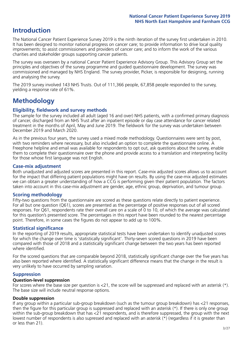## **Introduction**

The National Cancer Patient Experience Survey 2019 is the ninth iteration of the survey first undertaken in 2010. It has been designed to monitor national progress on cancer care; to provide information to drive local quality improvements; to assist commissioners and providers of cancer care; and to inform the work of the various charities and stakeholder groups supporting cancer patients.

The survey was overseen by a national Cancer Patient Experience Advisory Group. This Advisory Group set the principles and objectives of the survey programme and guided questionnaire development. The survey was commissioned and managed by NHS England. The survey provider, Picker, is responsible for designing, running and analysing the survey.

The 2019 survey involved 143 NHS Trusts. Out of 111,366 people, 67,858 people responded to the survey, yielding a response rate of 61%.

# **Methodology**

#### **Eligibility, eldwork and survey methods**

The sample for the survey included all adult (aged 16 and over) NHS patients, with a confirmed primary diagnosis of cancer, discharged from an NHS Trust after an inpatient episode or day case attendance for cancer related treatment in the months of April, May and June 2019. The fieldwork for the survey was undertaken between December 2019 and March 2020.

As in the previous four years, the survey used a mixed mode methodology. Questionnaires were sent by post, with two reminders where necessary, but also included an option to complete the questionnaire online. A Freephone helpline and email was available for respondents to opt out, ask questions about the survey, enable them to complete their questionnaire over the phone and provide access to a translation and interpreting facility for those whose first language was not English.

#### **Case-mix adjustment**

Both unadjusted and adjusted scores are presented in this report. Case-mix adjusted scores allows us to account for the impact that differing patient populations might have on results. By using the case-mix adjusted estimates we can obtain a greater understanding of how a CCG is performing given their patient population. The factors taken into account in this case-mix adjustment are gender, age, ethnic group, deprivation, and tumour group.

#### **Scoring methodology**

Fifty-two questions from the questionnaire are scored as these questions relate directly to patient experience. For all but one question (Q61), scores are presented as the percentage of positive responses out of all scored responses. For Q61, respondents rate their overall care on a scale of 0 to 10, of which the average was calculated for this question's presented score. The percentages in this report have been rounded to the nearest percentage point. Therefore, in some cases the figures do not appear to add up to 100%.

#### **Statistical significance**

In the reporting of 2019 results, appropriate statistical tests have been undertaken to identify unadjusted scores for which the change over time is 'statistically significant'. Thirty-seven scored questions in 2019 have been compared with those of 2018 and a statistically significant change between the two years has been reported where identified.

For the scored questions that are comparable beyond 2018, statistically significant change over the five years has also been reported where identified. A statistically significant difference means that the change in the result is very unlikely to have occurred by sampling variation.

#### **Suppression**

#### **Question-level suppression**

For scores where the base size per question is  $<$ 21, the score will be suppressed and replaced with an asterisk (\*). The base size will include neutral response options.

#### **Double suppression**

If any group within a particular sub-group breakdown (such as the tumour group breakdown) has <21 responses, then the figure for this particular group is suppressed and replaced with an asterisk (\*). If there is only one group within the sub-group breakdown that has <21 respondents, and is therefore suppressed, the group with the next lowest number of respondents is also supressed and replaced with an asterisk (\*) (regardless if it is greater than or less than 21).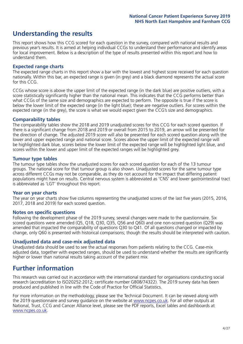# **Understanding the results**

This report shows how this CCG scored for each question in the survey, compared with national results and previous year's results. It is aimed at helping individual CCGs to understand their performance and identify areas for local improvement. Below is a description of the type of results presented within this report and how to understand them.

#### **Expected range charts**

The expected range charts in this report show a bar with the lowest and highest score received for each question nationally. Within this bar, an expected range is given (in grey) and a black diamond represents the actual score for this CCG.

CCGs whose score is above the upper limit of the expected range (in the dark blue) are positive outliers, with a score statistically significantly higher than the national mean. This indicates that the CCG performs better than what CCGs of the same size and demographics are expected to perform. The opposite is true if the score is below the lower limit of the expected range (in the light blue); these are negative outliers. For scores within the expected range (in the grey), the score is what we would expect given the CCG's size and demographics.

#### **Comparability tables**

The comparability tables show the 2018 and 2019 unadjusted scores for this CCG for each scored question. If there is a significant change from 2018 and 2019 or overall from 2015 to 2019, an arrow will be presented for the direction of change. The adjusted 2019 score will also be presented for each scored question along with the lower and upper expected range and national score. Scores above the upper limit of the expected range will be highlighted dark blue, scores below the lower limit of the expected range will be highlighted light blue, and scores within the lower and upper limit of the expected ranges will be highlighted grey.

#### **Tumour type tables**

The tumour type tables show the unadjusted scores for each scored question for each of the 13 tumour groups. The national score for that tumour group is also shown. Unadjusted scores for the same tumour type across different CCGs may not be comparable, as they do not account for the impact that differing patient populations might have on results. Central nervous system is abbreviated as 'CNS' and lower gastrointestinal tract is abbreviated as 'LGT' throughout this report.

#### **Year on year charts**

The year on year charts show five columns representing the unadjusted scores of the last five years (2015, 2016, 2017, 2018 and 2019) for each scored question.

#### **Notes on specific questions**

Following the development phase of the 2019 survey, several changes were made to the questionnaire. Six scored questions were amended (Q5, Q18, Q30, Q35, Q56 and Q60) and one non-scored question (Q29) was amended that impacted the comparability of questions Q30 to Q41. Of all questions changed or impacted by change, only Q60 is presented with historical comparisons; though the results should be interpreted with caution.

#### **Unadjusted data and case-mix adjusted data**

Unadjusted data should be used to see the actual responses from patients relating to the CCG. Case-mix adjusted data, together with expected ranges, should be used to understand whether the results are significantly higher or lower than national results taking account of the patient mix.

### **Further information**

This research was carried out in accordance with the international standard for organisations conducting social research (accreditation to ISO20252:2012; certificate number GB08/74322). The 2019 survey data has been produced and published in line with the Code of Practice for Official Statistics.

For more information on the methodology, please see the Technical Document. It can be viewed along with the 2019 questionnaire and survey quidance on the website at [www.ncpes.co.uk](https://www.ncpes.co.uk/supporting-documents). For all other outputs at National, Trust, CCG and Cancer Alliance level, please see the PDF reports, Excel tables and dashboards at [www.ncpes.co.uk.](https://www.ncpes.co.uk/current-results)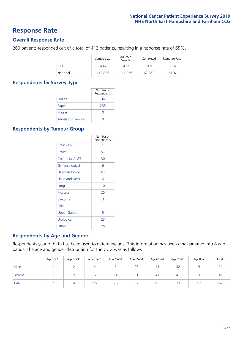### **Response Rate**

#### **Overall Response Rate**

269 patients responded out of a total of 412 patients, resulting in a response rate of 65%.

|          | Sample Size | Adjusted<br>Sample | Completed | Response Rate |
|----------|-------------|--------------------|-----------|---------------|
| CCG      | 436         | 412                | 269       | 65%           |
| National | 119,855     | 111.366            | 67,858    | 61%           |

#### **Respondents by Survey Type**

|                            | Number of<br>Respondents |
|----------------------------|--------------------------|
| Online                     | 34                       |
| Paper                      | 235                      |
| Phone                      | $\left( \right)$         |
| <b>Translation Service</b> |                          |

#### **Respondents by Tumour Group**

|                      | Number of<br>Respondents |
|----------------------|--------------------------|
| <b>Brain / CNS</b>   | 1                        |
| <b>Breast</b>        | 57                       |
| Colorectal / LGT     | 30                       |
| Gynaecological       | 6                        |
| Haematological       | 67                       |
| <b>Head and Neck</b> | 6                        |
| Lung                 | 10                       |
| Prostate             | 25                       |
| Sarcoma              | 3                        |
| Skin                 | 11                       |
| <b>Upper Gastro</b>  | 5                        |
| Urological           | 23                       |
| Other                | 25                       |

#### **Respondents by Age and Gender**

Respondents year of birth has been used to determine age. This information has been amalgamated into 8 age bands. The age and gender distribution for the CCG was as follows:

|        | Age 16-24 | Age 25-34 | Age 35-44 | Age 45-54 | Age 55-64 | Age 65-74 | Age 75-84                | Age 85+ | Total |
|--------|-----------|-----------|-----------|-----------|-----------|-----------|--------------------------|---------|-------|
| Male   |           |           |           |           | 26        | 44        | 32                       |         | 124   |
| Female |           |           | 12        | 14        | 31        | -41       | 41                       |         | 145   |
| Total  |           |           | 16        | 20        | 57        | 85        | $\overline{\phantom{a}}$ | 12      | 269   |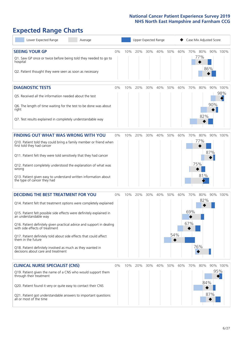# **Expected Range Charts**

| Lower Expected Range<br>Average                                                                                                        |       |     |     |     | Upper Expected Range |     |     | Case Mix Adjusted Score |     |     |          |
|----------------------------------------------------------------------------------------------------------------------------------------|-------|-----|-----|-----|----------------------|-----|-----|-------------------------|-----|-----|----------|
| <b>SEEING YOUR GP</b>                                                                                                                  | 0%    | 10% | 20% | 30% | 40%                  | 50% | 60% | 70% 80%                 |     |     | 90% 100% |
| Q1. Saw GP once or twice before being told they needed to go to<br>hospital<br>Q2. Patient thought they were seen as soon as necessary |       |     |     |     |                      |     |     |                         | 77% | 86% |          |
| <b>DIAGNOSTIC TESTS</b>                                                                                                                | $0\%$ | 10% | 20% | 30% | 40%                  | 50% | 60% | 70%                     | 80% |     | 90% 100% |
| Q5. Received all the information needed about the test                                                                                 |       |     |     |     |                      |     |     |                         |     |     | 98%      |
| Q6. The length of time waiting for the test to be done was about<br>right                                                              |       |     |     |     |                      |     |     |                         |     | 90% |          |
| Q7. Test results explained in completely understandable way                                                                            |       |     |     |     |                      |     |     |                         | 82% |     |          |
| <b>FINDING OUT WHAT WAS WRONG WITH YOU</b>                                                                                             | 0%    | 10% | 20% | 30% | 40%                  | 50% | 60% | 70%                     | 80% |     | 90% 100% |
| Q10. Patient told they could bring a family member or friend when<br>first told they had cancer                                        |       |     |     |     |                      |     |     |                         | 77% |     |          |
| Q11. Patient felt they were told sensitively that they had cancer                                                                      |       |     |     |     |                      |     |     |                         |     | 87% |          |
| Q12. Patient completely understood the explanation of what was<br>wrong                                                                |       |     |     |     |                      |     |     |                         | 75% |     |          |
| Q13. Patient given easy to understand written information about<br>the type of cancer they had                                         |       |     |     |     |                      |     |     |                         | 81% |     |          |
| <b>DECIDING THE BEST TREATMENT FOR YOU</b>                                                                                             | 0%    | 10% | 20% | 30% | 40%                  | 50% | 60% | 70%                     | 80% |     | 90% 100% |
| Q14. Patient felt that treatment options were completely explained                                                                     |       |     |     |     |                      |     |     |                         | 82% |     |          |
| Q15. Patient felt possible side effects were definitely explained in<br>an understandable way                                          |       |     |     |     |                      |     |     | 69%                     |     |     |          |
| Q16. Patient definitely given practical advice and support in dealing<br>with side effects of treatment                                |       |     |     |     |                      |     |     | 67%                     |     |     |          |
| Q17. Patient definitely told about side effects that could affect<br>them in the future                                                |       |     |     |     |                      | 54% |     |                         |     |     |          |
| Q18. Patient definitely involved as much as they wanted in<br>decisions about care and treatment                                       |       |     |     |     |                      |     |     |                         | 76% |     |          |
| <b>CLINICAL NURSE SPECIALIST (CNS)</b>                                                                                                 | 0%    | 10% | 20% | 30% | 40%                  | 50% | 60% | 70%                     | 80% |     | 90% 100% |
| Q19. Patient given the name of a CNS who would support them<br>through their treatment                                                 |       |     |     |     |                      |     |     |                         |     | 95% | ♦        |
| Q20. Patient found it very or quite easy to contact their CNS                                                                          |       |     |     |     |                      |     |     |                         | 84% |     |          |
| Q21. Patient got understandable answers to important questions<br>all or most of the time                                              |       |     |     |     |                      |     |     |                         |     | 87% |          |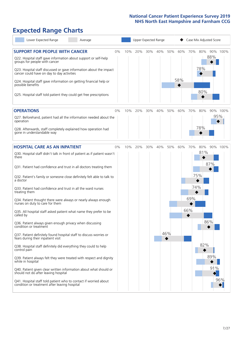# **Expected Range Charts**

| Lower Expected Range<br>Average                                                                                                                                                                                                                               |       |     |     |     | Upper Expected Range |     |     |     | Case Mix Adjusted Score |     |          |
|---------------------------------------------------------------------------------------------------------------------------------------------------------------------------------------------------------------------------------------------------------------|-------|-----|-----|-----|----------------------|-----|-----|-----|-------------------------|-----|----------|
| <b>SUPPORT FOR PEOPLE WITH CANCER</b><br>Q22. Hospital staff gave information about support or self-help<br>groups for people with cancer<br>Q23. Hospital staff discussed or gave information about the impact<br>cancer could have on day to day activities | $0\%$ | 10% | 20% | 30% | 40%                  | 50% | 60% | 70% | 80%<br>78%              | 88% | 90% 100% |
| Q24. Hospital staff gave information on getting financial help or<br>possible benefits<br>Q25. Hospital staff told patient they could get free prescriptions                                                                                                  |       |     |     |     |                      |     | 58% |     | 80%                     |     |          |
| <b>OPERATIONS</b>                                                                                                                                                                                                                                             | 0%    | 10% | 20% | 30% | 40%                  | 50% | 60% | 70% | 80%                     |     | 90% 100% |
| Q27. Beforehand, patient had all the information needed about the<br>operation<br>Q28. Afterwards, staff completely explained how operation had<br>gone in understandable way                                                                                 |       |     |     |     |                      |     |     |     | 78%                     | 95% |          |
|                                                                                                                                                                                                                                                               |       |     |     |     |                      |     |     |     |                         |     |          |
| <b>HOSPITAL CARE AS AN INPATIENT</b><br>Q30. Hospital staff didn't talk in front of patient as if patient wasn't<br>there                                                                                                                                     | 0%    | 10% | 20% | 30% | 40%                  | 50% | 60% | 70% | 80%<br>81%              |     | 90% 100% |
| Q31. Patient had confidence and trust in all doctors treating them                                                                                                                                                                                            |       |     |     |     |                      |     |     |     |                         | 87% |          |
| Q32. Patient's family or someone close definitely felt able to talk to<br>a doctor                                                                                                                                                                            |       |     |     |     |                      |     |     |     | 75%                     |     |          |
| Q33. Patient had confidence and trust in all the ward nurses<br>treating them                                                                                                                                                                                 |       |     |     |     |                      |     |     | 74% |                         |     |          |
| Q34. Patient thought there were always or nearly always enough<br>nurses on duty to care for them                                                                                                                                                             |       |     |     |     |                      |     |     | 69% |                         |     |          |
| Q35. All hospital staff asked patient what name they prefer to be<br>called by                                                                                                                                                                                |       |     |     |     |                      |     |     | 66% |                         |     |          |
| Q36. Patient always given enough privacy when discussing<br>condition or treatment                                                                                                                                                                            |       |     |     |     |                      |     |     |     | 86%                     |     |          |
| Q37. Patient definitely found hospital staff to discuss worries or<br>fears during their inpatient visit                                                                                                                                                      |       |     |     |     |                      | 46% |     |     |                         |     |          |
| Q38. Hospital staff definitely did everything they could to help<br>control pain                                                                                                                                                                              |       |     |     |     |                      |     |     |     | 82%                     |     |          |
| Q39. Patient always felt they were treated with respect and dignity<br>while in hospital                                                                                                                                                                      |       |     |     |     |                      |     |     |     |                         | 89% |          |
| Q40. Patient given clear written information about what should or<br>should not do after leaving hospital                                                                                                                                                     |       |     |     |     |                      |     |     |     |                         | 91% |          |
| Q41. Hospital staff told patient who to contact if worried about<br>condition or treatment after leaving hospital                                                                                                                                             |       |     |     |     |                      |     |     |     |                         |     | 96%      |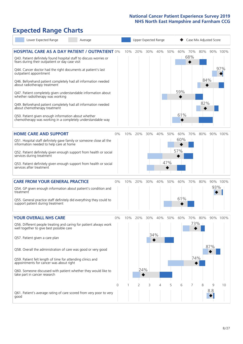# **Expected Range Charts**

| Lower Expected Range                                                                                                                                                                                                                                                                                                                                                                                                                                        | Average |            |     |                 |                 | Upper Expected Range |            |                   |                        |            | Case Mix Adjusted Score |                 |
|-------------------------------------------------------------------------------------------------------------------------------------------------------------------------------------------------------------------------------------------------------------------------------------------------------------------------------------------------------------------------------------------------------------------------------------------------------------|---------|------------|-----|-----------------|-----------------|----------------------|------------|-------------------|------------------------|------------|-------------------------|-----------------|
| <b>HOSPITAL CARE AS A DAY PATIENT / OUTPATIENT 0%</b><br>Q43. Patient definitely found hospital staff to discuss worries or<br>fears during their outpatient or day case visit<br>Q44. Cancer doctor had the right documents at patient's last<br>outpatient appointment                                                                                                                                                                                    |         |            | 10% | 20%             | 30%             | 40%                  | 50%        | 60%               | 70%<br>68%             | 80%        |                         | 90% 100%<br>97% |
| Q46. Beforehand patient completely had all information needed<br>about radiotherapy treatment<br>Q47. Patient completely given understandable information about<br>whether radiotherapy was working<br>Q49. Beforehand patient completely had all information needed<br>about chemotherapy treatment<br>Q50. Patient given enough information about whether<br>chemotherapy was working in a completely understandable way                                  |         |            |     |                 |                 |                      |            | 59%<br>61%        |                        | 84%<br>82% |                         |                 |
| <b>HOME CARE AND SUPPORT</b><br>Q51. Hospital staff definitely gave family or someone close all the<br>information needed to help care at home<br>Q52. Patient definitely given enough support from health or social<br>services during treatment<br>Q53. Patient definitely given enough support from health or social<br>services after treatment                                                                                                         |         | 0%         | 10% | 20%             | 30%             | 40%                  | 50%<br>47% | 60%<br>60%<br>57% | 70%                    | 80%        |                         | 90% 100%        |
| <b>CARE FROM YOUR GENERAL PRACTICE</b><br>Q54. GP given enough information about patient's condition and<br>treatment<br>Q55. General practice staff definitely did everything they could to<br>support patient during treatment                                                                                                                                                                                                                            |         | $0\%$      | 10% | 20%             | 30%             | 40%                  | 50%        | 60%<br>61%        | 70%                    | 80%        | 93%                     | 90% 100%        |
| <b>YOUR OVERALL NHS CARE</b><br>Q56. Different people treating and caring for patient always work<br>well together to give best possible care<br>Q57. Patient given a care plan<br>Q58. Overall the administration of care was good or very good<br>Q59. Patient felt length of time for attending clinics and<br>appointments for cancer was about right<br>Q60. Someone discussed with patient whether they would like to<br>take part in cancer research |         | $0\%$<br>0 | 10% | 20%<br>24%<br>2 | 30%<br>34%<br>3 | 40%<br>4             | 50%<br>5   | 60%<br>6          | 70%<br>73%<br>74%<br>7 | 80%<br>8   | 87%<br>9                | 90% 100%<br>10  |
| Q61. Patient's average rating of care scored from very poor to very<br>good                                                                                                                                                                                                                                                                                                                                                                                 |         |            |     |                 |                 |                      |            |                   |                        |            | 8.8                     |                 |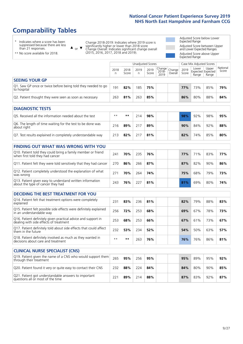# **Comparability Tables**

\* Indicates where a score has been suppressed because there are less than 21 responses.

\*\* No score available for 2018.

 $\triangle$  or  $\nabla$ 

Change 2018-2019: Indicates where 2019 score is significantly higher or lower than 2018 score Change Overall: Indicates significant change overall (2015, 2016, 2017, 2018 and 2019).

Adjusted Score below Lower Expected Range Adjusted Score between Upper and Lower Expected Ranges Adjusted Score above Upper Expected Range

|                                                                             |           | Case Mix Adjusted Scores<br>Unadjusted Scores |           |               |                                                   |         |               |                |                                     |                   |
|-----------------------------------------------------------------------------|-----------|-----------------------------------------------|-----------|---------------|---------------------------------------------------|---------|---------------|----------------|-------------------------------------|-------------------|
|                                                                             | 2018<br>n | 2018<br>Score                                 | 2019<br>n | 2019<br>Score | $\sim$  Change   Change   $\sim$<br>2018-<br>2019 | Overall | 2019<br>Score | Lower<br>Range | Upper<br>Expected Expected<br>Range | National<br>Score |
| <b>SEEING YOUR GP</b>                                                       |           |                                               |           |               |                                                   |         |               |                |                                     |                   |
| Q1. Saw GP once or twice before being told they needed to go<br>to hospital | 191       | 82%                                           | 185       | 75%           |                                                   |         | 77%           | 73%            | 85%                                 | 79%               |
| Q2. Patient thought they were seen as soon as necessary                     | 263       | 81%                                           | 263       | 85%           |                                                   |         | 86%           | 80%            | 88%                                 | 84%               |

| <b>DIAGNOSTIC TESTS</b>                                                   |      |     |     |     |  |     |     |     |     |
|---------------------------------------------------------------------------|------|-----|-----|-----|--|-----|-----|-----|-----|
| Q5. Received all the information needed about the test                    | $**$ | **  | 214 | 98% |  | 98% | 92% | 98% | 95% |
| Q6. The length of time waiting for the test to be done was<br>about right | 216  | 89% |     | 89% |  | 90% | 84% | 92% | 88% |
| Q7. Test results explained in completely understandable way               | 213  | 82% |     | 81% |  | 82% | 74% | 85% | 80% |

| <b>FINDING OUT WHAT WAS WRONG WITH YOU</b>                                                      |     |     |     |     |            |                 |     |     |
|-------------------------------------------------------------------------------------------------|-----|-----|-----|-----|------------|-----------------|-----|-----|
| Q10. Patient told they could bring a family member or friend<br>when first told they had cancer | 241 | 70% | 235 | 76% | <b>77%</b> | 71 <sub>%</sub> | 83% | 77% |
| Q11. Patient felt they were told sensitively that they had cancer                               | 270 | 86% | 266 | 87% | 87%        | 82%             | 90% | 86% |
| Q12. Patient completely understood the explanation of what<br>was wrong                         | 271 | 70% | 264 | 74% | 75%        | 68%             | 79% | 73% |
| Q13. Patient given easy to understand written information<br>about the type of cancer they had  | 243 | 76% | 227 | 81% | 81%        | 69%             | 80% | 74% |

| <b>DECIDING THE BEST TREATMENT FOR YOU</b>                                                              |      |     |     |     |     |     |     |     |
|---------------------------------------------------------------------------------------------------------|------|-----|-----|-----|-----|-----|-----|-----|
| Q14. Patient felt that treatment options were completely<br>explained                                   | 231  | 83% | 236 | 81% | 82% | 79% | 88% | 83% |
| Q15. Patient felt possible side effects were definitely explained<br>in an understandable way           | 256  | 72% | 253 | 68% | 69% | 67% | 78% | 73% |
| Q16. Patient definitely given practical advice and support in<br>dealing with side effects of treatment | 253  | 68% | 253 | 66% | 67% | 61% | 73% | 67% |
| Q17. Patient definitely told about side effects that could affect<br>them in the future                 | 232  | 53% | 234 | 52% | 54% | 50% | 63% | 57% |
| Q18. Patient definitely involved as much as they wanted in<br>decisions about care and treatment        | $**$ | **  | 263 | 76% | 76% | 76% | 86% | 81% |

| <b>CLINICAL NURSE SPECIALIST (CNS)</b>                                                    |     |     |     |     |     |     |     |     |
|-------------------------------------------------------------------------------------------|-----|-----|-----|-----|-----|-----|-----|-----|
| Q19. Patient given the name of a CNS who would support them<br>through their treatment    | 265 | 95% | 256 | 95% | 95% | 89% | 95% | 92% |
| Q20. Patient found it very or quite easy to contact their CNS                             | 232 | 88% | 224 | 84% | 84% | 80% | 90% | 85% |
| Q21. Patient got understandable answers to important<br>questions all or most of the time | 221 | 89% | 214 | 88% | 87% | 83% | 92% | 87% |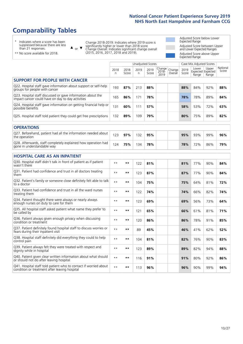# **Comparability Tables**

\* Indicates where a score has been suppressed because there are less than 21 responses.

\*\* No score available for 2018.

 $\triangle$  or  $\nabla$ 

Change 2018-2019: Indicates where 2019 score is significantly higher or lower than 2018 score Change Overall: Indicates significant change overall (2015, 2016, 2017, 2018 and 2019).

Adjusted Score below Lower Expected Range Adjusted Score between Upper and Lower Expected Ranges Adjusted Score above Upper Expected Range

|                                                                                                                   |              |               | <b>Unadjusted Scores</b> |               |                         |                   |               | Case Mix Adjusted Scores            |                |                   |
|-------------------------------------------------------------------------------------------------------------------|--------------|---------------|--------------------------|---------------|-------------------------|-------------------|---------------|-------------------------------------|----------------|-------------------|
|                                                                                                                   | 2018<br>n    | 2018<br>Score | 2019<br>n                | 2019<br>Score | Change<br>2018-<br>2019 | Change<br>Overall | 2019<br>Score | Lower<br>Expected Expected<br>Range | Upper<br>Range | National<br>Score |
| <b>SUPPORT FOR PEOPLE WITH CANCER</b>                                                                             |              |               |                          |               |                         |                   |               |                                     |                |                   |
| Q22. Hospital staff gave information about support or self-help<br>groups for people with cancer                  | 193          | 87%           | 213                      | 88%           |                         |                   | 88%           | 84%                                 | 92%            | 88%               |
| Q23. Hospital staff discussed or gave information about the<br>impact cancer could have on day to day activities  | 165          | 86%           | 171                      | 78%           |                         |                   | 78%           | 78%                                 | 89%            | 84%               |
| Q24. Hospital staff gave information on getting financial help or<br>possible benefits                            | 131          | 60%           | 111                      | 57%           |                         |                   | 58%           | 53%                                 | 72%            | 63%               |
| Q25. Hospital staff told patient they could get free prescriptions                                                | 132          | 89%           | 109                      | 79%           |                         |                   | 80%           | 75%                                 | 89%            | 82%               |
| <b>OPERATIONS</b>                                                                                                 |              |               |                          |               |                         |                   |               |                                     |                |                   |
| Q27. Beforehand, patient had all the information needed about<br>the operation                                    | 123          | 97%           | 132                      | 95%           |                         |                   | 95%           | 93%                                 | 99%            | 96%               |
| Q28. Afterwards, staff completely explained how operation had<br>gone in understandable way                       | 124          | 75%           | 134                      | 78%           |                         |                   | 78%           | 72%                                 | 86%            | 79%               |
| <b>HOSPITAL CARE AS AN INPATIENT</b>                                                                              |              |               |                          |               |                         |                   |               |                                     |                |                   |
| Q30. Hospital staff didn't talk in front of patient as if patient<br>wasn't there                                 | $**$         | $***$         | 122                      | 81%           |                         |                   | 81%           | 77%                                 | 90%            | 84%               |
| Q31. Patient had confidence and trust in all doctors treating<br>them                                             | $* *$        | $***$         | 123                      | 87%           |                         |                   | 87%           | 77%                                 | 90%            | 84%               |
| Q32. Patient's family or someone close definitely felt able to talk<br>to a doctor                                | $\star\star$ | $***$         | 104                      | 75%           |                         |                   | 75%           | 64%                                 | 81%            | 72%               |
| Q33. Patient had confidence and trust in all the ward nurses<br>treating them                                     | $* *$        | **            | 122                      | 74%           |                         |                   | 74%           | 66%                                 | 82%            | 74%               |
| Q34. Patient thought there were always or nearly always<br>enough nurses on duty to care for them                 | $***$        | $***$         | 123                      | 69%           |                         |                   | 69%           | 56%                                 | 73%            | 64%               |
| Q35. All hospital staff asked patient what name they prefer to<br>be called by                                    | $* *$        | $***$         | 121                      | 65%           |                         |                   | 66%           | 61%                                 | 81%            | 71%               |
| Q36. Patient always given enough privacy when discussing<br>condition or treatment                                | $* *$        | $***$         | 120                      | 86%           |                         |                   | 86%           | 78%                                 | 91%            | 85%               |
| Q37. Patient definitely found hospital staff to discuss worries or<br>fears during their inpatient visit          | $* *$        | **            | 89                       | 45%           |                         |                   | 46%           | 41%                                 | 62%            | 52%               |
| Q38. Hospital staff definitely did everything they could to help<br>control pain                                  | $* *$        | $***$         | 104                      | 81%           |                         |                   | 82%           | 76%                                 | 90%            | 83%               |
| Q39. Patient always felt they were treated with respect and<br>dignity while in hospital                          | $***$        | $***$         | 123                      | 89%           |                         |                   | 89%           | 82%                                 | 94%            | 88%               |
| Q40. Patient given clear written information about what should<br>or should not do after leaving hospital         | $* *$        | $***$         | 116                      | 91%           |                         |                   | 91%           | 80%                                 | 92%            | 86%               |
| Q41. Hospital staff told patient who to contact if worried about<br>condition or treatment after leaving hospital | $**$         | $***$         | 113                      | 96%           |                         |                   | 96%           | 90%                                 | 99%            | 94%               |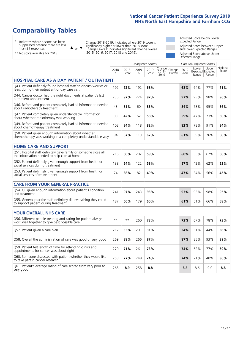# **Comparability Tables**

\* Indicates where a score has been suppressed because there are less than 21 responses.

\*\* No score available for 2018.

 $\triangle$  or  $\nabla$ 

Change 2018-2019: Indicates where 2019 score is significantly higher or lower than 2018 score Change Overall: Indicates significant change overall (2015, 2016, 2017, 2018 and 2019).

Adjusted Score below Lower Expected Range Adjusted Score between Upper and Lower Expected Ranges Adjusted Score above Upper Expected Range

|                                                                                                                       |           |               |           | Unadjusted Scores |                         |                   |               | Case Mix Adjusted Scores            |                |                   |
|-----------------------------------------------------------------------------------------------------------------------|-----------|---------------|-----------|-------------------|-------------------------|-------------------|---------------|-------------------------------------|----------------|-------------------|
|                                                                                                                       | 2018<br>n | 2018<br>Score | 2019<br>n | 2019<br>Score     | Change<br>2018-<br>2019 | Change<br>Overall | 2019<br>Score | Lower<br>Expected Expected<br>Range | Upper<br>Range | National<br>Score |
| <b>HOSPITAL CARE AS A DAY PATIENT / OUTPATIENT</b>                                                                    |           |               |           |                   |                         |                   |               |                                     |                |                   |
| Q43. Patient definitely found hospital staff to discuss worries or<br>fears during their outpatient or day case visit | 192       | 72%           | 192       | 68%               |                         |                   | 68%           | 64%                                 | 77%            | 71%               |
| Q44. Cancer doctor had the right documents at patient's last<br>outpatient appointment                                | 235       | 97%           | 224       | 97%               |                         |                   | 97%           | 93%                                 | 98%            | 96%               |
| Q46. Beforehand patient completely had all information needed<br>about radiotherapy treatment                         | 43        | 81%           | 60        | 83%               |                         |                   | 84%           | 78%                                 | 95%            | 86%               |
| Q47. Patient completely given understandable information<br>about whether radiotherapy was working                    | 33        | 42%           | 52        | 58%               |                         |                   | 59%           | 47%                                 | 73%            | 60%               |
| Q49. Beforehand patient completely had all information needed<br>about chemotherapy treatment                         | 103       | 84%           | 118       | 82%               |                         |                   | 82%           | 78%                                 | 91%            | 84%               |
| Q50. Patient given enough information about whether<br>chemotherapy was working in a completely understandable way    | 94        | 67%           | 113       | 62%               |                         |                   | 61%           | 59%                                 | 76%            | 68%               |
| <b>HOME CARE AND SUPPORT</b>                                                                                          |           |               |           |                   |                         |                   |               |                                     |                |                   |
| Q51. Hospital staff definitely gave family or someone close all<br>the information needed to help care at home        | 216       | 60%           | 202       | 59%               |                         |                   | 60%           | 53%                                 | 67%            | 60%               |
| Q52. Patient definitely given enough support from health or<br>social services during treatment                       | 138       | 54%           | 122       | 58%               |                         |                   | 57%           | 42%                                 | 62%            | 52%               |
| Q53. Patient definitely given enough support from health or<br>social services after treatment                        | 74        | 38%           | 82        | 49%               |                         |                   | 47%           | 34%                                 | 56%            | 45%               |
| <b>CARE FROM YOUR GENERAL PRACTICE</b>                                                                                |           |               |           |                   |                         |                   |               |                                     |                |                   |
| Q54. GP given enough information about patient's condition<br>and treatment                                           | 241       | 97%           | 243       | 93%               |                         |                   | 93%           | 93%                                 | 98%            | 95%               |
| Q55. General practice staff definitely did everything they could<br>to support patient during treatment               | 187       | 60%           | 179       | 60%               |                         |                   | 61%           | 51%                                 | 66%            | 58%               |
| <b>YOUR OVERALL NHS CARE</b>                                                                                          |           |               |           |                   |                         |                   |               |                                     |                |                   |
| Q56. Different people treating and caring for patient always<br>work well together to give best possible care         | $* *$     | $***$         | 260       | 73%               |                         |                   | 73%           | 67%                                 | 78%            | 73%               |
| Q57. Patient given a care plan                                                                                        | 212       | 33%           | 201       | 31%               |                         |                   | 34%           | 31%                                 | 44%            | 38%               |
| Q58. Overall the administration of care was good or very good                                                         | 269       | 88%           | 266       | 87%               |                         |                   | 87%           | 85%                                 | 93%            | 89%               |
| Q59. Patient felt length of time for attending clinics and<br>appointments for cancer was about right                 | 270       | 71%           | 261       | 73%               |                         |                   | 74%           | 62%                                 | 77%            | 69%               |
| Q60. Someone discussed with patient whether they would like<br>to take part in cancer research                        | 253       | 27%           | 248       | 24%               |                         |                   | 24%           | 21%                                 | 40%            | 30%               |
| Q61. Patient's average rating of care scored from very poor to<br>very good                                           | 265       | 8.9           | 258       | 8.8               |                         |                   | 8.8           | 8.6                                 | 9.0            | 8.8               |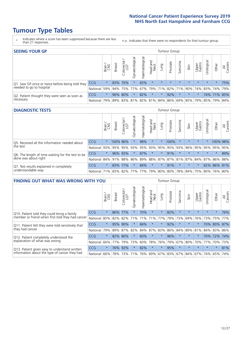# **Tumour Type Tables**

- \* Indicates where a score has been suppressed because there are less than 21 responses.
- n.a. Indicates that there were no respondents for that tumour group.

| <b>SEEING YOUR GP</b>                           |                          |         |               |                   |                   |                |                  |                 | Tumour Group |         |                                         |                 |            |             |                |
|-------------------------------------------------|--------------------------|---------|---------------|-------------------|-------------------|----------------|------------------|-----------------|--------------|---------|-----------------------------------------|-----------------|------------|-------------|----------------|
|                                                 |                          | Brain   | <b>Breast</b> | Colorectal<br>LGT | ত<br>Gynaecologic | Haematological | Head and<br>Neck | Dung            | Prostate     | Sarcoma | Skin                                    | Upper<br>Gastro | Urological | Other       | All<br>Cancers |
| Q1. Saw GP once or twice before being told they | <b>CCG</b>               | $\star$ |               | 83% 70%           |                   | 65%            | $\star$          | $\star$         | $\star$      | $\star$ | $\star$                                 | $\star$         | $\star$    | $\star$     | 75%            |
| needed to go to hospital                        | National 59% 94% 75% 77% |         |               |                   |                   |                |                  | 67% 79% 71% 82% |              |         | 71% 90% 74% 83% 74% 79%                 |                 |            |             |                |
| Q2. Patient thought they were seen as soon as   | <b>CCG</b>               | $\star$ |               | 96% 80%           |                   | 82%            | $\star$          | $\star$         | 92%          | $\star$ | $\star$                                 | $\star$         |            | 74% 71% 85% |                |
| necessary                                       | National                 | 79%     |               |                   |                   |                |                  |                 |              |         | 89% 83% 81% 82% 81% 84% 86% 69% 85% 79% |                 | 85% 79%    |             | 84%            |

#### **DIAGNOSTIC TESTS** Tumour Group

|                                                   |                                                          | Brain<br>CNS | <b>Breast</b> | Colorectal<br>LGT | Gynaecological | Haematological | Head and<br>Neck | Lung    | Prostate | Sarcoma | Skin    | Upper<br>Gastro | rological                               | Other       | All<br>Cancers |
|---------------------------------------------------|----------------------------------------------------------|--------------|---------------|-------------------|----------------|----------------|------------------|---------|----------|---------|---------|-----------------|-----------------------------------------|-------------|----------------|
| Q5. Received all the information needed about     | <b>CCG</b>                                               | $\star$      | 100% 96%      |                   |                | 98%            | $\star$          | $\star$ | 100%     |         | $\star$ | $\star$         |                                         | 100% 98%    |                |
| the test                                          | National                                                 | 93%          | 95%           | 95%               | 93%            |                | 95% 93%          |         | 95% 95%  | 93%     | 96%     | 95%             | 95%                                     | 95%         | 95%            |
| Q6. The length of time waiting for the test to be | <b>CCG</b>                                               | $\star$      |               | 96% 93%           |                | 87%            | $\star$          | $\star$ | 91%      | $\star$ | $\star$ | $\star$         | $\star$                                 | $\star$     | 89%            |
| done was about right                              | National l                                               |              | 84% 91% 88%   |                   | 86%            |                |                  |         |          |         |         |                 | 89% 88% 87% 87% 81% 87% 84% 87% 86% 88% |             |                |
| Q7. Test results explained in completely          | <b>CCG</b>                                               | $\star$      |               | 83% 71%           |                | 84%            | $\star$          | $\star$ | 91%      | $\star$ | $\star$ |                 |                                         | 62% 86% 81% |                |
| understandable way                                | National 71% 83% 82% 77% 77% 79% 80% 80% 78% 84% 75% 80% |              |               |                   |                |                |                  |         |          |         |         |                 |                                         | 76% 80%     |                |

| <b>FINDING OUT WHAT WAS WRONG WITH YOU</b>        |            |         |               |                             |                |                |                        |             | Tumour Group |         |                         |                 |            |             |                |
|---------------------------------------------------|------------|---------|---------------|-----------------------------|----------------|----------------|------------------------|-------------|--------------|---------|-------------------------|-----------------|------------|-------------|----------------|
|                                                   |            | Brain   | <b>Breast</b> | ∼<br>olorectal.<br>LGT<br>Ũ | Gynaecological | Haematological | ad and<br>Neck<br>Head | Lung        | Prostate     | Sarcoma | Skin                    | Upper<br>Gastro | Urological | Other       | All<br>Cancers |
| Q10. Patient told they could bring a family       | CCG        | $\star$ | 86%           | 77%                         |                | 70%            | $\star$                | $\star$     | 82%          | $\star$ | $\star$                 | $\star$         | $\star$    | $\star$     | 76%            |
| member or friend when first told they had cancer  | National   | 85%     | 82%           | 82%                         | 71%            | 71%            | 71%                    | 77%         | 79%          | 73%     | 69%                     | 76%             | 73%        | 75%         | 77%            |
| Q11. Patient felt they were told sensitively that | CCG        | $\star$ | 95%           | 90%                         |                | 84%            | $\star$                | $\star$     | 92%          | $\star$ | $\star$                 | $\star$         | 70%        | 80%         | 87%            |
| they had cancer                                   | National   | 79%     |               | 89% 87%                     | 82%            |                |                        | 84% 87% 83% | 86%          | 84%     | 89%                     | 81%             |            | 84% 83% 86% |                |
| Q12. Patient completely understood the            | <b>CCG</b> | $\star$ | 82%           | 80%                         |                | 60%            | $\star$                | $\star$     | 96%          | $\star$ | $\star$                 |                 | 70%        | 72%         | 74%            |
| explanation of what was wrong                     | National   | 66%     | 77%           | 79%                         | 73%            | 60%            | 78%                    | 76%         | 79%          | 67%     | 80%                     | 70%             | 77%        | 70%         | 73%            |
| Q13. Patient given easy to understand written     | <b>CCG</b> | $\star$ | 76%           | 92%                         | $\star$        | 82%            | $\star$                | $\star$     | 95%          | $\star$ | $\star$                 | $\star$         | $\star$    | $^\star$    | 81%            |
| information about the type of cancer they had     | National   | 66%     | 78%           | 73%                         | 71%            |                |                        |             |              |         | 76% 69% 67% 83% 67% 84% | 67%             | 74%        | 65%         | 74%            |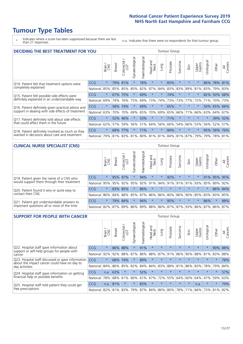# **Tumour Type Tables**

\* Indicates where a score has been suppressed because there are less than 21 responses.

n.a. Indicates that there were no respondents for that tumour group.

| <b>DECIDING THE BEST TREATMENT FOR YOU</b>         |            |         |               |                    | <b>Tumour Group</b> |                |                        |         |          |                             |         |                 |            |             |                |
|----------------------------------------------------|------------|---------|---------------|--------------------|---------------------|----------------|------------------------|---------|----------|-----------------------------|---------|-----------------|------------|-------------|----------------|
|                                                    |            | Brain   | <b>Breast</b> | Colorectal.<br>LGT | Gynaecological      | Haematological | ad and<br>Neck<br>Head | Lung    | Prostate | Sarcoma                     | Skin    | Upper<br>Gastro | Jrological | Other       | All<br>Cancers |
| Q14. Patient felt that treatment options were      | CCG        | $\star$ | 79%           | 81%                | $\star$             | 78%            | $\star$                | $\star$ | 83%      | $\star$                     | $\star$ | $\star$         |            | 86% 78%     | 81%            |
| completely explained                               | National   | 85%     | 85%           | 85%                | 85%                 | 82%            | 87%                    | 84%     | 83%      | 83%                         | 89%     | 81%             |            | 83% 79% 83% |                |
| Q15. Patient felt possible side effects were       | <b>CCG</b> | $\star$ | 67%           | 75%                | $\star$             | 69%            | $\star$                | $\star$ | 74%      | $\star$                     | $\star$ | $\star$         |            | 82% 50%     | 68%            |
| definitely explained in an understandable way      | National   | 69%     | 74%           | 76%                | 75%                 | 69%            | 73%                    | 74%     | 73%      | 73%                         | 77%     | 72%             | 71%        | 70%         | 73%            |
| Q16. Patient definitely given practical advice and | <b>CCG</b> | $\star$ | 58%           | 74%                | $\star$             | 69%            | $\star$                | $\star$ | 65%      | $\star$                     | $\star$ | $\star$         |            | 50% 65% 66% |                |
| support in dealing with side effects of treatment  | National   | 63%     | 70%           | 70%                | 69%                 | 65%            | 70%                    | 69%     | 65%      | 66%                         | 71%     | 66%             | 63%        | 64%         | 67%            |
| Q17. Patient definitely told about side effects    | CCG        | $\star$ | 52%           | 46%                | $\star$             | 53%            | $\star$                | $\star$ | 71%      | $^\star$                    | $\star$ | $\star$         | $^\star$   | 39%         | 52%            |
| that could affect them in the future               | National   | 62%     | 57%           | 59%                | 56%                 | 51%            | 64%                    | 56%     | 66%      | 54%                         | 66%     | 53%             | 56%        | 52%         | 57%            |
| Q18. Patient definitely involved as much as they   | <b>CCG</b> | $\star$ | 68%           | 77%                | $\star$             | 71%            | $\star$                | $\star$ | 84%      | $\star$                     | $\star$ | $\star$         |            | 95% 58% 76% |                |
| wanted in decisions about care and treatment       | National   | 79%     |               | 81% 83%            |                     |                |                        |         |          | 81% 80% 81% 81% 84% 81% 87% |         | 79%             | 79%        | 78% 81%     |                |

#### **CLINICAL NURSE SPECIALIST (CNS)** Tumour Group

|                                             |          | Brain           | <b>Breast</b>   | Colorectal<br>LGT | ᠊ᢛ<br>Gynaecologic | $\overline{\sigma}$<br>ت<br>aematologi | Head and<br>Neck | Lung    | Prostate | Sarcoma | Skin    | Upper<br>Gastro                 | $\overline{\sigma}$<br>Irologica | Other       | All<br>Cancers |
|---------------------------------------------|----------|-----------------|-----------------|-------------------|--------------------|----------------------------------------|------------------|---------|----------|---------|---------|---------------------------------|----------------------------------|-------------|----------------|
| Q19. Patient given the name of a CNS who    | CCG      | $\star$         |                 | 95% 97%           |                    | 94%                                    | $\star$          |         | 92%      | $\star$ | $\star$ |                                 |                                  | 91% 95% 95% |                |
| would support them through their treatment  | National | 95%             | 95%             | 92%               | 95%                | 92%                                    | 91%              |         | 94% 91%  | 91%     | 91%     | 93%                             | 85%                              | 89%         | 92%            |
| Q20. Patient found it very or quite easy to | CCG      | $\star$         |                 | 83% 85%           |                    | 86%                                    | $\star$          | $\star$ | $\star$  | $\star$ | $\star$ | $\star$                         | $\star$                          |             | 86% 84%        |
| contact their CNS                           | National |                 | 86% 84% 88% 85% |                   |                    | 87%                                    | 86%              | 86% 80% |          |         |         | 86% 90% 85%                     | 83%                              | 83%         | 85%            |
| Q21. Patient got understandable answers to  | CCG      | $\star$         |                 | 79% 84%           |                    | 94%                                    | $\star$          | $\star$ | 95%      | $\star$ | $\star$ | $\star$                         | 86%                              | $\star$     | 88%            |
| important questions all or most of the time | National | 82% 87% 89% 86% |                 |                   |                    |                                        |                  |         |          |         |         | 89% 88% 86% 87% 87% 93% 86% 87% |                                  | 86%         | 87%            |

| <b>SUPPORT FOR PEOPLE WITH CANCER</b>                                                             |            |         |               |            |                |                |                        |             | Tumour Group |         |         |                 |            |         |                |
|---------------------------------------------------------------------------------------------------|------------|---------|---------------|------------|----------------|----------------|------------------------|-------------|--------------|---------|---------|-----------------|------------|---------|----------------|
|                                                                                                   |            | Brain   | <b>Breast</b> | Colorectal | Gynaecological | Haematological | ad and<br>Neck<br>Head | Lung        | Prostate     | Sarcoma | Skin    | Upper<br>Gastro | Jrological | Other   | All<br>Cancers |
| Q22. Hospital staff gave information about<br>support or self-help groups for people with         | <b>CCG</b> | $\star$ | 86%           | 88%        | $\star$        | 91%            | $\star$                | $\star$     | $\star$      | $\star$ | $\star$ | $\star$         | $\star$    | 90%     | 88%            |
| cancer                                                                                            | National   | 92%     | 92%           | 88%        | 87%            | 86%            | 88%                    | 87%         | 91%          | 86%     | 90%     | 88%             | 81%        | 83%     | 88%            |
| Q23. Hospital staff discussed or gave information<br>about the impact cancer could have on day to | CCG.       | $\star$ | 68%           | 74%        | $\star$        | 89%            | $\star$                | $\star$     | $\star$      | $\star$ | $\star$ | $\star$         | $\star$    | $\star$ | 78%            |
| day activities                                                                                    | National   | 84%     | 86%           | 85%        | 82%            | 84%            | 84%                    | 83%         | 88%          | 81%     | 86%     | 83%             | 78%        | 79%     | 84%            |
| Q24. Hospital staff gave information on getting                                                   | CCG        | n.a.    | 63%           | $\star$    | $\star$        | 52%            | $\ast$                 | $\star$     | $\star$      | $\star$ |         | $\star$         | $\star$    | $\ast$  | 57%            |
| financial help or possible benefits                                                               | National   | 78%     | 68%           | 61%        | 66%            | 61%            | 67%                    | 72%         | 55%          | 64%     | 60%     | 64%             | 47%        | 59%     | 63%            |
| Q25. Hospital staff told patient they could get                                                   | CCG        | n.a.    | 81%           |            | $\star$        | 83%            | $\star$                | $\star$     | $\star$      | $\star$ | $\star$ | n.a.            | $\star$    | $\ast$  | 79%            |
| free prescriptions                                                                                | National   | 82%     | 81%           | 83%        | 79%            | 87%            |                        | 84% 86% 80% |              | 78%     | 71%     | 84%             | 73%        | 81%     | 82%            |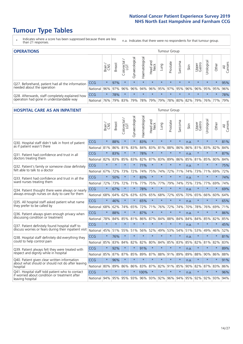# **Tumour Type Tables**

- \* Indicates where a score has been suppressed because there are less than 21 responses.
- n.a. Indicates that there were no respondents for that tumour group.

| <b>OPERATIONS</b>                                |            |         |               |                   |                   |                |                  |             | Tumour Group |         |         |                 |                                                  |         |                |
|--------------------------------------------------|------------|---------|---------------|-------------------|-------------------|----------------|------------------|-------------|--------------|---------|---------|-----------------|--------------------------------------------------|---------|----------------|
|                                                  |            | Brain   | <b>Breast</b> | Colorectal<br>LGT | ল<br>Gynaecologic | Haematological | Head and<br>Neck | <b>Gunn</b> | Prostate     | Sarcoma | Skin    | Upper<br>Gastro | Urological                                       | Other   | All<br>Cancers |
| Q27. Beforehand, patient had all the information | CCG        | $\star$ | 97%           | $\star$           | $\star$           | $\star$        | $\star$          | $\star$     | $\star$      | $\star$ | $\star$ | $\star$         | $\star$                                          | $\star$ | 95%            |
| needed about the operation                       | National   | 96%     | 97% 96%       |                   |                   |                |                  |             |              |         |         |                 | 96% 94% 96% 95% 97% 95% 96% 96% 95% 95%          |         | 96%            |
| Q28. Afterwards, staff completely explained how  | <b>CCG</b> | $\star$ | 78%           | $\star$           | $\star$           | $\star$        | $\star$          | $\star$     | $\star$      | $\star$ | $\star$ | $\star$         | $\star$                                          | $\star$ | 78%            |
| operation had gone in understandable way         | National   | 76%     |               | 79% 83%           |                   |                |                  |             |              |         |         |                 | 79%  78%  79%  79%  78%  80%  82%  79%  76%  77% |         | 79%            |

#### **HOSPITAL CARE AS AN INPATIENT** Tumour Group

|                                                                                                   |              | Brain   | Breast  | Colorectal /<br>LGT | Gynaecological | Haematological          | Head and<br>Neck | Lung    | Prostate | Sarcoma | Skin | Upper<br>Gastro | Urological  | Other   | All<br>Cancers |
|---------------------------------------------------------------------------------------------------|--------------|---------|---------|---------------------|----------------|-------------------------|------------------|---------|----------|---------|------|-----------------|-------------|---------|----------------|
| Q30. Hospital staff didn't talk in front of patient                                               | CCG          | $\star$ | 88%     | $\star$             | $\star$        | 83%                     | $\star$          | $\star$ | $\star$  | $\star$ | n.a. | $\star$         | $\star$     | $\star$ | 81%            |
| as if patient wasn't there                                                                        | National     | 81%     | 86%     | 81%                 | 83%            | 84%                     | 83%              | 81%     | 88%      | 86%     | 86%  | 81%             | 83%         | 82%     | 84%            |
| O31. Patient had confidence and trust in all                                                      | CCG          | $\star$ | 83%     | $\star$             |                | 78%                     | $\star$          | $\star$ | $\star$  | $\star$ | n.a. |                 | $\star$     | $\star$ | 87%            |
| doctors treating them                                                                             | National 82% |         | 83%     | 85%                 | 83%            | 82%                     |                  | 87% 83% | 89%      | 86%     | 85%  | 81%             | 85%         | 80%     | 84%            |
| Q32. Patient's family or someone close definitely                                                 | CCG          | $\star$ | $\star$ | $\star$             | $\star$        | 71%                     | $\star$          | $\star$ | $\star$  | $\star$ | n.a. |                 | $\star$     | $\star$ | 75%            |
| felt able to talk to a doctor                                                                     | National     | 67%     | 72%     | 73%                 | 72%            | 74%                     | 75%              | 74%     | 72%      | 71%     | 74%  |                 | 73% 71%     | 69%     | 72%            |
| Q33. Patient had confidence and trust in all the<br>ward nurses treating them                     | CCG          | $\star$ | 50%     | $\star$             | $\star$        | 83%                     | $\star$          | $\star$ | $\star$  | $\star$ | n.a. | $\star$         | $\star$     | $\star$ | 74%            |
|                                                                                                   | National     | 72%     | 73%     | 72%                 | 71%            | 77%                     | 75%              | 77%     | 79%      | 74%     | 75%  | 73%             | 77%         | 69%     | 74%            |
| Q34. Patient thought there were always or nearly<br>always enough nurses on duty to care for them | <b>CCG</b>   | $\star$ | 67%     | $\star$             | $\star$        | 78%                     | $\star$          | $\star$ | $\star$  | $\star$ | n.a. | $\star$         | $\star$     | $\star$ | 69%            |
|                                                                                                   | National     | 68%     | 64%     | 62%                 | 63%            | 63%                     | 65%              | 68%     | 72%      | 65%     | 70%  | 65%             | 66%         | 60%     | 64%            |
| Q35. All hospital staff asked patient what name<br>they prefer to be called by                    | CCG          | $\star$ | 46%     | $\star$             | $\star$        | 65%                     | $\star$          | $\star$ | $\star$  | $\star$ | n.a. |                 | $\star$     | $\star$ | 65%            |
|                                                                                                   | National     | 68%     | 62%     | 74%                 | 65%            | 72%                     | 71%              | 76%     | 72%      | 74%     | 70%  | 78%             | 76%         | 69%     | 71%            |
| Q36. Patient always given enough privacy when                                                     | CCG          | $\star$ | 88%     | $\star$             |                | 87%                     | $\star$          | $\star$ | $\star$  | $\star$ | n.a. | $\star$         | $\star$     | $\star$ | 86%            |
| discussing condition or treatment                                                                 | National     | 78%     | 84%     | 85%                 | 81%            | 86%                     |                  | 87% 84% | 88%      | 84%     | 84%  | 84%             | 85%         | 82%     | 85%            |
| Q37. Patient definitely found hospital staff to                                                   | <b>CCG</b>   | $\star$ | $\star$ | $\star$             |                | $\star$                 | $\star$          | $\star$ | $\star$  | $\star$ | n.a. |                 | $\star$     | $\star$ | 45%            |
| discuss worries or fears during their inpatient visit                                             | National     | 45%     | 51%     | 55%                 | 51%            | 56%                     | 52%              | 49%     | 53%      | 54%     | 51%  | 53%             | 49%         | 46%     | 52%            |
| Q38. Hospital staff definitely did everything they                                                | CCG          | $\star$ | 76%     | $\star$             | $\star$        | $\star$                 | $\star$          | $\star$ | $\star$  | $\star$ | n.a. | $\star$         | $\star$     | $\star$ | 81%            |
| could to help control pain                                                                        | National     | 85%     | 83%     | 84%                 | 82%            | 82%                     | 80%              | 84%     | 85%      | 83%     | 85%  | 82%             | 81%         | 82%     | 83%            |
| Q39. Patient always felt they were treated with                                                   | CCG          | $\star$ | 92%     | $\star$             |                | 91%                     | $\star$          | $\star$ | $\star$  | $\star$ | n.a. |                 | $\star$     | $\star$ | 89%            |
| respect and dignity while in hospital                                                             | National 85% |         | 87%     | 87%                 | 85%            | 89%                     |                  | 87% 88% | 91%      | 89%     | 89%  | 88%             | 90%         | 86%     | 88%            |
| Q40. Patient given clear written information<br>about what should or should not do after leaving  | CCG          | $\star$ | 96%     | $\star$             | $\star$        | $\star$                 | $\star$          | $\star$ | $\star$  | $\star$ | n.a. |                 | $\star$     | $\star$ | 91%            |
| hospital                                                                                          | National 80% |         | 89%     | 86%                 | 86%            | 83%                     |                  | 87% 82% | 91%      | 85%     | 90%  | 82%             | 87%         | 83%     | 86%            |
| Q41. Hospital staff told patient who to contact<br>if worried about condition or treatment after  | CCG          | $\star$ | $\star$ | $\star$             |                | 100%                    | $\star$          | $\star$ | $\star$  | $\star$ | n.a. | $\star$         | $\star$     | $\star$ | 96%            |
| leaving hospital                                                                                  | National 94% |         |         |                     |                | 95% 95% 93% 96% 93% 92% |                  |         | 96%      | 94%     |      |                 | 95% 92% 92% | 93% 94% |                |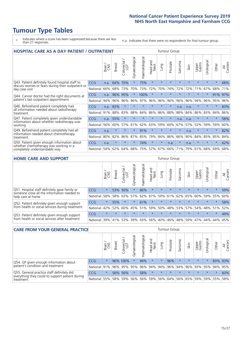# **Tumour Type Tables**

- \* Indicates where a score has been suppressed because there are less than 21 responses.
- n.a. Indicates that there were no respondents for that tumour group.

| <b>HOSPITAL CARE AS A DAY PATIENT / OUTPATIENT</b>                                                                    | <b>Tumour Group</b> |       |               |                         |                |                |                         |         |          |                      |         |                 |            |         |                |
|-----------------------------------------------------------------------------------------------------------------------|---------------------|-------|---------------|-------------------------|----------------|----------------|-------------------------|---------|----------|----------------------|---------|-----------------|------------|---------|----------------|
|                                                                                                                       |                     | Brain | <b>Breast</b> | olorectal /<br>LGT<br>Ū | Gynaecological | Haematological | aad and<br>Neck<br>Head | Lung    | Prostate | arcoma<br>$\sqrt{ }$ | Skin    | Upper<br>Gastro | Urological | Other   | All<br>Cancers |
| Q43. Patient definitely found hospital staff to                                                                       | <b>CCG</b>          | n.a.  | 64%           | 70%                     | $\star$        | 75%            | $\star$                 | $\star$ | $\star$  | $\star$              | $\star$ | $\star$         | $\star$    | $\star$ | 68%            |
| discuss worries or fears during their outpatient or<br>day case visit                                                 | National            | 66%   | 68%           | 73%                     | 70%            | 73%            | 72%                     | 70%     | 74%      | 72%                  | 72%     | 71%             | 67%        | 68%     | 71%            |
| Q44. Cancer doctor had the right documents at<br>patient's last outpatient appointment                                | <b>CCG</b>          | n.a.  | 96%           | 95%                     |                | 100%           | $\star$                 | $\star$ | $\star$  | $\star$              | $\star$ | $\star$         | $\star$    | 91%     | 97%            |
|                                                                                                                       | National            | 94%   | 96%           | 96%                     | 96%            | 97%            | 96%                     | 96%     | 96%      | 96%                  | 96%     | 94%             | 96%        | 95%     | 96%            |
| Q46. Beforehand patient completely had                                                                                | CCG                 | n.a.  | 83%           | $\star$                 |                |                | $\star$                 | $\star$ | $\star$  | n.a.                 | n.a.    | $\star$         | $\star$    | $\star$ | 83%            |
| all information needed about radiotherapy<br>treatment                                                                | National            | 91%   | 88%           | 83%                     | 88%            | 84%            | 86%                     | 86%     | 88%      | 88%                  | 84%     | 86%             | 83%        | 84%     | 86%            |
| Q47. Patient completely given understandable                                                                          | <b>CCG</b>          | n.a.  | 55%           | $\star$                 |                |                | $\star$                 | $\star$ | $\star$  | n.a.                 | n.a.    | $\star$         | $\star$    | $\star$ | 58%            |
| information about whether radiotherapy was<br>working                                                                 | National            | 56%   | 60%           | 57%                     | 61%            | 62%            | 63%                     | 59%     | 60%      | 67%                  | 57%     | 52%             | 59%        | 59%     | 60%            |
| Q49. Beforehand patient completely had all                                                                            | CCG                 | n.a.  | $\star$       | $\star$                 |                | 91%            | $\star$                 | $\star$ | $\star$  | $\star$              | n.a.    | $\star$         | $\star$    | $\ast$  | 82%            |
| information needed about chemotherapy<br>treatment                                                                    | National            | 80%   | 82%           | 86%                     | 87%            | 85%            | 79%                     | 84%     | 86%      | 86%                  | 90%     | 84%             | 85%        | 85%     | 84%            |
| Q50. Patient given enough information about<br>whether chemotherapy was working in a<br>completely understandable way | <b>CCG</b>          | n.a.  | $\star$       | $\star$                 | $\star$        | 74%            | $\star$                 | $\star$ | n.a.     | $\star$              | n.a.    | $\star$         | $\star$    | $\star$ | 62%            |
|                                                                                                                       | National            | 54%   | 62%           | 64%                     | 68%            | 75%            |                         | 57% 67% | 66%      | 71%                  | 79%     | 61%             | 68%        | 69%     | 68%            |

#### **HOME CARE AND SUPPORT** Tumour Group

|                                                                                                                   |            | Brain   | <b>Breast</b> | olorectal.<br>LGT<br>Ũ | σ<br>Ü<br>Gynaecologi | Haematological | ad and<br>Neck<br>Head | <b>Lung</b> | Prostate | Sarcoma | Skin    | Upper<br>Gastro | rological   | Other   | All<br>Cancers |
|-------------------------------------------------------------------------------------------------------------------|------------|---------|---------------|------------------------|-----------------------|----------------|------------------------|-------------|----------|---------|---------|-----------------|-------------|---------|----------------|
| Q51. Hospital staff definitely gave family or<br>someone close all the information needed to<br>help care at home | <b>CCG</b> | $\star$ | 53%           | 50%                    | $\star$               | 66%            | $\star$                | $\star$     | $\star$  | $\star$ | $\star$ | $\star$         | $\star$     | $\star$ | 59%            |
|                                                                                                                   | National   | 58%     | 58%           | 63%                    | 57%                   | 62%            | 67%                    | 59%         | 61%      |         | 62% 65% | 60%             | 59% 55%     |         | 60%            |
| Q52. Patient definitely given enough support<br>from health or social services during treatment                   | <b>CCG</b> | $\star$ | 55%           | $\star$                | $\star$               | 61%            | $\star$                | $\star$     | $\star$  |         |         | $\star$         | $\star$     | $\star$ | 58%            |
|                                                                                                                   | National   | 42%     | 52%           | 60%                    |                       | 45% 51%        | 59%                    | 50%         | 48%      |         | 53% 57% |                 | 54% 48% 51% |         | 52%            |
| Q53. Patient definitely given enough support<br>from health or social services after treatment                    | <b>CCG</b> | $\star$ |               |                        | $\star$               |                | $\star$                | $\star$     | $\star$  |         | $\star$ | $\star$         | $\star$     | $\star$ | 49%            |
|                                                                                                                   | National   | 39%     | 41% 53%       |                        | 39%                   | 43%            | 56%                    | 40%         | 46%      | 48% 59% |         | 47%             | 44%         | 44%     | 45%            |

| <b>CARE FROM YOUR GENERAL PRACTICE</b>                                                                     |            |         |               |                   |                |                |                  | Tumour Group |                 |         |         |                 |           |         |                |  |
|------------------------------------------------------------------------------------------------------------|------------|---------|---------------|-------------------|----------------|----------------|------------------|--------------|-----------------|---------|---------|-----------------|-----------|---------|----------------|--|
|                                                                                                            |            | Brain   | <b>Breast</b> | Colorectal<br>LGT | Gynaecological | Haematological | Head and<br>Neck | Lung         | Prostate        | Sarcoma | Skin    | Upper<br>Gastro | Urologica | Other   | All<br>Cancers |  |
| Q54. GP given enough information about                                                                     | CCG        | $\star$ |               | 96% 100%          | $\star$        | 94%            | $\star$          | $\star$      | 96%             | $\star$ | $\star$ | $\star$         | $\star$   | 83% 93% |                |  |
| patient's condition and treatment                                                                          | National   | 91%     |               | 96% 95%           | 95%            |                |                  |              | 96% 94% 94% 96% |         | 94% 96% | 93% 95% 94% 95% |           |         |                |  |
| Q55. General practice staff definitely did<br>everything they could to support patient during<br>treatment | <b>CCG</b> | $\star$ |               | 56% 56%           | $\star$        | 58%            | $\star$          | $\star$      | $\star$         | $\star$ | $\star$ | $\star$         | $\star$   | $\star$ | 60%            |  |
|                                                                                                            | National   | 55%     |               | 58% 59%           | 56%            |                | 56% 59%          |              | 56% 64%         |         | 56% 65% | 59% 59% 55%     |           |         | 58%            |  |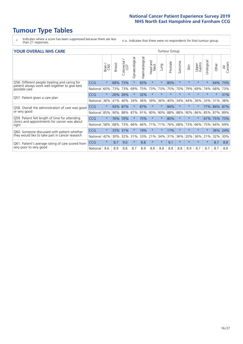# **Tumour Type Tables**

- \* Indicates where a score has been suppressed because there are less than 21 responses.
- n.a. Indicates that there were no respondents for that tumour group.

| <b>YOUR OVERALL NHS CARE</b> |  |  |
|------------------------------|--|--|
|------------------------------|--|--|

| <b>YOUR OVERALL NHS CARE</b>                                                                                     |            |         |               |                   |                |                |                  |             | <b>Tumour Group</b> |         |         |                 |            |         |                |  |  |
|------------------------------------------------------------------------------------------------------------------|------------|---------|---------------|-------------------|----------------|----------------|------------------|-------------|---------------------|---------|---------|-----------------|------------|---------|----------------|--|--|
|                                                                                                                  |            | Brain   | <b>Breast</b> | Colorectal<br>LGT | Gynaecological | Haematological | Head and<br>Neck | <b>Dung</b> | Prostate            | Sarcoma | Skin    | Upper<br>Gastro | Urological | Other   | All<br>Cancers |  |  |
| Q56. Different people treating and caring for<br>patient always work well together to give best<br>possible care | <b>CCG</b> | $\star$ | 68%           | 73%               | $\star$        | 83%            | $\ast$           | $\star$     | 80%                 | $\ast$  | $\star$ | $\star$         | $\star$    | 64%     | 73%            |  |  |
|                                                                                                                  | National   | 60%     | 73%           | 73%               | 69%            | 75%            | 73%              | 73%         | 75%                 | 70%     | 79%     | 69%             | 74%        | 68%     | 73%            |  |  |
| Q57. Patient given a care plan                                                                                   | CCG        | $\star$ | 26%           | 26%               |                | 32%            | $\star$          | $\star$     | $\star$             | $\star$ | $\star$ |                 |            | $\star$ | 31%            |  |  |
|                                                                                                                  | National   | 36%     | 41%           | 40%               | 34%            | 36%            | 39%              | 36%         | 40%                 | 34%     | 44%     | 36%             | 33%        | 31%     | 38%            |  |  |
| Q58. Overall the administration of care was good                                                                 | CCG        | $\star$ | 93%           | 87%               |                | 87%            | $\ast$           | $\star$     | 84%                 | $\star$ | $\star$ | $\star$         |            | 77% 84% | 87%            |  |  |
| or very good                                                                                                     | National   | 85%     | 90%           | 88%               | 87%            | 91%            | 90%              | 90%         | 88%                 | 88%     | 90%     | 86%             | 85%        | 87%     | 89%            |  |  |
| Q59. Patient felt length of time for attending                                                                   | <b>CCG</b> | $\star$ | 76%           | 70%               |                | 75%            | $\star$          | $\star$     | 80%                 | $\star$ | $\star$ |                 | 67%        | 75%     | 73%            |  |  |
| clinics and appointments for cancer was about<br>right                                                           | National   | 58%     | 68%           | 73%               | 66%            | 66% 71%        |                  | 71%         | 76%                 | 68%     | 73%     | 66%             | 75%        | 64%     | 69%            |  |  |
| Q60. Someone discussed with patient whether                                                                      | <b>CCG</b> | $\star$ | 33%           | 31%               |                | 19%            | $\ast$           | $\star$     | 17%                 | $\ast$  | $\star$ | $\star$         | $\star$    | 36%     | 24%            |  |  |
| they would like to take part in cancer research                                                                  | National   | 42%     | 30%           | 32%               | 31%            | 33%            | 21%              | 34%         | 31%                 | 36%     | 20%     | 36%             | 21%        | 32%     | 30%            |  |  |
| Q61. Patient's average rating of care scored from<br>very poor to very good                                      | <b>CCG</b> | $\star$ | 8.7           | 9.0               | $\star$        | 8.8            | $\ast$           | $\star$     | 9.1                 | $\ast$  | $\star$ | $\star$         | $\star$    | 8.7     | 8.8            |  |  |
|                                                                                                                  | National   | 8.6     | 8.9           | 8.8               | 8.7            | 8.9            | 8.8              | 8.8         | 8.8                 | 8.8     | 8.9     | 8.7             | 8.7        | 8.7     | 8.8            |  |  |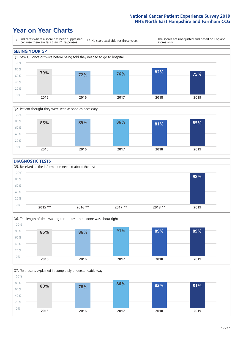### **Year on Year Charts**





#### **DIAGNOSTIC TESTS**





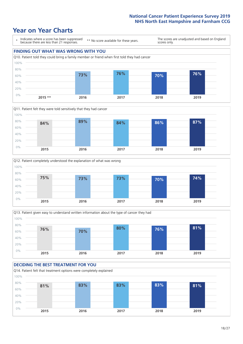







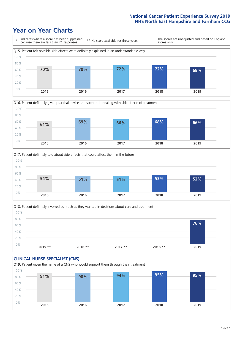





Q18. Patient definitely involved as much as they wanted in decisions about care and treatment  $0%$ 20% 40% 60% 80% 100% **2015 \*\* 2016 \*\* 2017 \*\* 2018 \*\* 2019 76%**

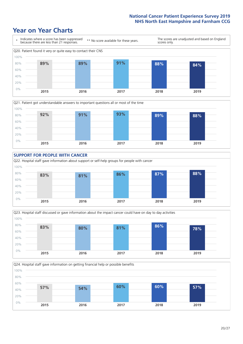







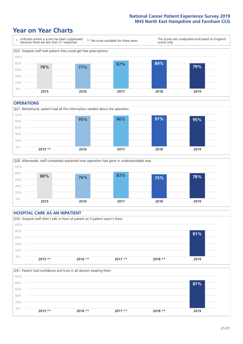### **Year on Year Charts**



#### **OPERATIONS**





#### **HOSPITAL CARE AS AN INPATIENT** Q30. Hospital staff didn't talk in front of patient as if patient wasn't there 0% 20% 40% 60% 80% 100% **2015 \*\* 2016 \*\* 2017 \*\* 2018 \*\* 2019 81%**

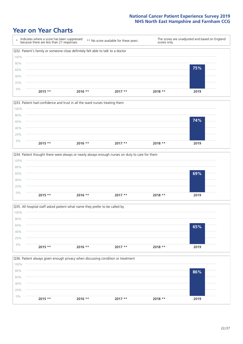







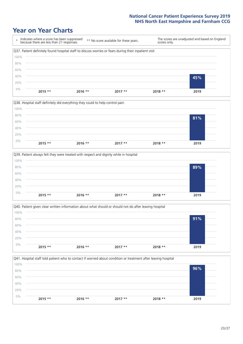







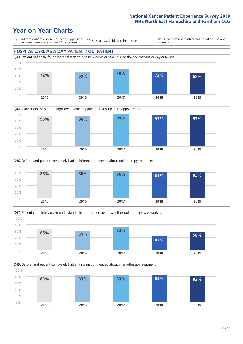### **Year on Year Charts**

\* Indicates where a score has been suppressed because there are less than 21 responses.

\*\* No score available for these years.

The scores are unadjusted and based on England scores only.

#### **HOSPITAL CARE AS A DAY PATIENT / OUTPATIENT**









Q49. Beforehand patient completely had all information needed about chemotherapy treatment 100%

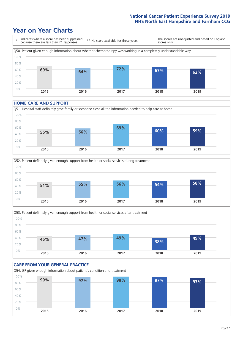### **Year on Year Charts**



#### **HOME CARE AND SUPPORT**







#### **CARE FROM YOUR GENERAL PRACTICE** Q54. GP given enough information about patient's condition and treatment 0% 20% 40% 60% 80% 100% **2015 2016 2017 2018 2019 99% 97% 98% 97% 93%**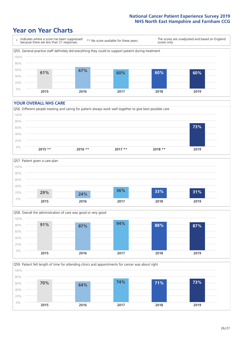### **Year on Year Charts**



#### **YOUR OVERALL NHS CARE**







Q59. Patient felt length of time for attending clinics and appointments for cancer was about right 0% 20% 40% 60% 80% 100% **2015 2016 2017 2018 2019 70% 64% 74% 71% 73%**